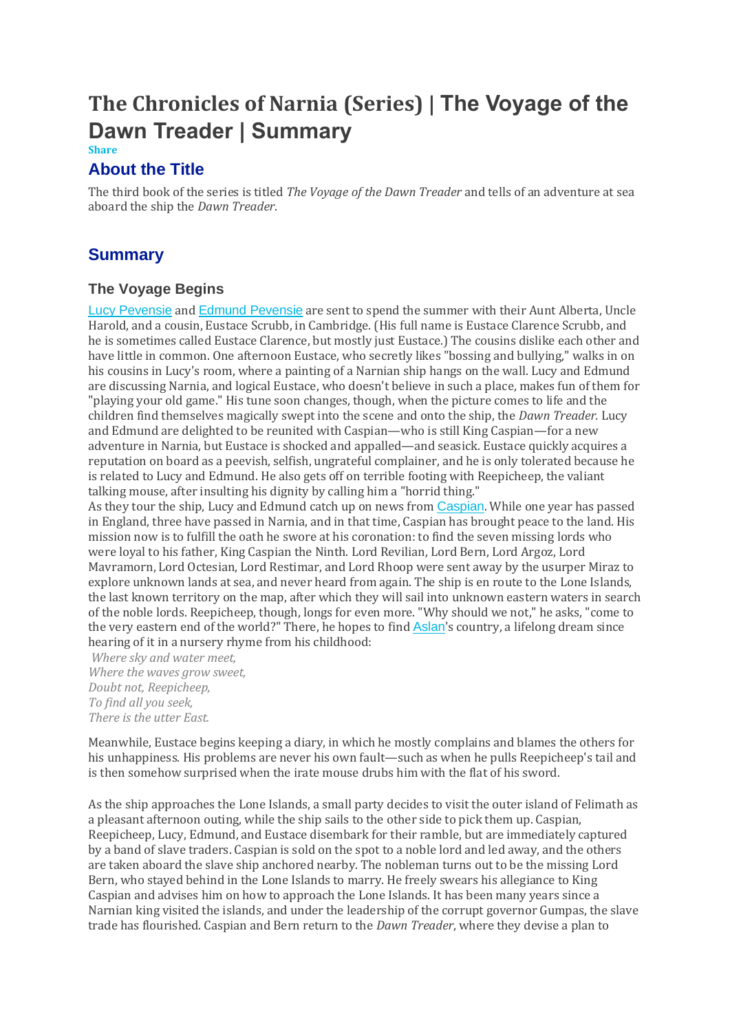# **The Chronicles of Narnia (Series) | The Voyage of the Dawn Treader | Summary**

#### **Share**

## **About the Title**

The third book of the series is titled *The Voyage of the Dawn Treader* and tells of an adventure at sea aboard the ship the *Dawn Treader*.

## **Summary**

### **The Voyage Begins**

Lucy [Pevensie](https://www.coursehero.com/lit/The-Chronicles-of-Narnia-Series/character-analysis/#Lucy_Pevensie) and Edmund [Pevensie](https://www.coursehero.com/lit/The-Chronicles-of-Narnia-Series/character-analysis/#Edmund_Pevensie) are sent to spend the summer with their Aunt Alberta, Uncle Harold, and a cousin, Eustace Scrubb, in Cambridge. (His full name is Eustace Clarence Scrubb, and he is sometimes called Eustace Clarence, but mostly just Eustace.) The cousins dislike each other and have little in common. One afternoon Eustace, who secretly likes "bossing and bullying," walks in on his cousins in Lucy's room, where a painting of a Narnian ship hangs on the wall. Lucy and Edmund are discussing Narnia, and logical Eustace, who doesn't believe in such a place, makes fun of them for "playing your old game." His tune soon changes, though, when the picture comes to life and the children find themselves magically swept into the scene and onto the ship, the *Dawn Treader.* Lucy and Edmund are delighted to be reunited with Caspian—who is still King Caspian—for a new adventure in Narnia, but Eustace is shocked and appalled—and seasick. Eustace quickly acquires a reputation on board as a peevish, selfish, ungrateful complainer, and he is only tolerated because he is related to Lucy and Edmund. He also gets off on terrible footing with Reepicheep, the valiant talking mouse, after insulting his dignity by calling him a "horrid thing."

As they tour the ship, Lucy and Edmund catch up on news from [Caspian](https://www.coursehero.com/lit/The-Chronicles-of-Narnia-Series/character-analysis/#Caspian). While one year has passed in England, three have passed in Narnia, and in that time, Caspian has brought peace to the land. His mission now is to fulfill the oath he swore at his coronation: to find the seven missing lords who were loyal to his father, King Caspian the Ninth. Lord Revilian, Lord Bern, Lord Argoz, Lord Mavramorn, Lord Octesian, Lord Restimar, and Lord Rhoop were sent away by the usurper Miraz to explore unknown lands at sea, and never heard from again. The ship is en route to the Lone Islands, the last known territory on the map, after which they will sail into unknown eastern waters in search of the noble lords. Reepicheep, though, longs for even more. "Why should we not," he asks, "come to the very eastern end of the world?" There, he hopes to find [Aslan](https://www.coursehero.com/lit/The-Chronicles-of-Narnia-Series/character-analysis/#Aslan)'s country, a lifelong dream since hearing of it in a nursery rhyme from his childhood:

*Where sky and water meet, Where the waves grow sweet, Doubt not, Reepicheep, To find all you seek, There is the utter East.*

Meanwhile, Eustace begins keeping a diary, in which he mostly complains and blames the others for his unhappiness. His problems are never his own fault—such as when he pulls Reepicheep's tail and is then somehow surprised when the irate mouse drubs him with the flat of his sword.

As the ship approaches the Lone Islands, a small party decides to visit the outer island of Felimath as a pleasant afternoon outing, while the ship sails to the other side to pick them up. Caspian, Reepicheep, Lucy, Edmund, and Eustace disembark for their ramble, but are immediately captured by a band of slave traders. Caspian is sold on the spot to a noble lord and led away, and the others are taken aboard the slave ship anchored nearby. The nobleman turns out to be the missing Lord Bern, who stayed behind in the Lone Islands to marry. He freely swears his allegiance to King Caspian and advises him on how to approach the Lone Islands. It has been many years since a Narnian king visited the islands, and under the leadership of the corrupt governor Gumpas, the slave trade has flourished. Caspian and Bern return to the *Dawn Treader*, where they devise a plan to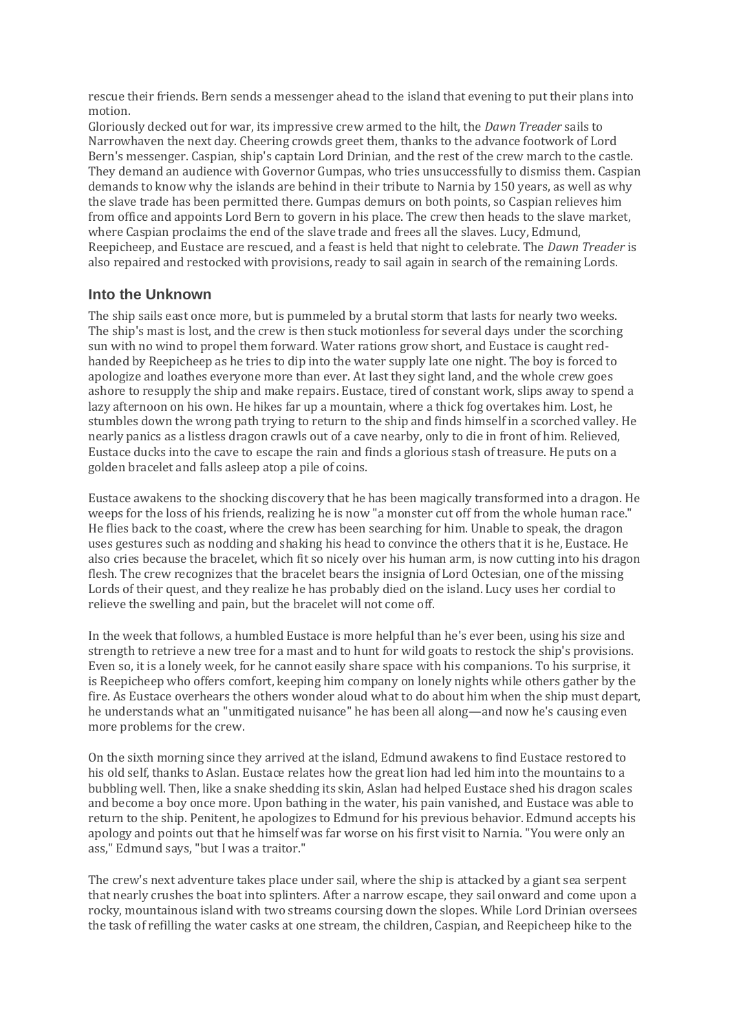rescue their friends. Bern sends a messenger ahead to the island that evening to put their plans into motion.

Gloriously decked out for war, its impressive crew armed to the hilt, the *Dawn Treader* sails to Narrowhaven the next day. Cheering crowds greet them, thanks to the advance footwork of Lord Bern's messenger. Caspian, ship's captain Lord Drinian, and the rest of the crew march to the castle. They demand an audience with Governor Gumpas, who tries unsuccessfully to dismiss them. Caspian demands to know why the islands are behind in their tribute to Narnia by 150 years, as well as why the slave trade has been permitted there. Gumpas demurs on both points, so Caspian relieves him from office and appoints Lord Bern to govern in his place. The crew then heads to the slave market, where Caspian proclaims the end of the slave trade and frees all the slaves. Lucy, Edmund, Reepicheep, and Eustace are rescued, and a feast is held that night to celebrate. The *Dawn Treader* is also repaired and restocked with provisions, ready to sail again in search of the remaining Lords.

### **Into the Unknown**

The ship sails east once more, but is pummeled by a brutal storm that lasts for nearly two weeks. The ship's mast is lost, and the crew is then stuck motionless for several days under the scorching sun with no wind to propel them forward. Water rations grow short, and Eustace is caught redhanded by Reepicheep as he tries to dip into the water supply late one night. The boy is forced to apologize and loathes everyone more than ever. At last they sight land, and the whole crew goes ashore to resupply the ship and make repairs. Eustace, tired of constant work, slips away to spend a lazy afternoon on his own. He hikes far up a mountain, where a thick fog overtakes him. Lost, he stumbles down the wrong path trying to return to the ship and finds himself in a scorched valley. He nearly panics as a listless dragon crawls out of a cave nearby, only to die in front of him. Relieved, Eustace ducks into the cave to escape the rain and finds a glorious stash of treasure. He puts on a golden bracelet and falls asleep atop a pile of coins.

Eustace awakens to the shocking discovery that he has been magically transformed into a dragon. He weeps for the loss of his friends, realizing he is now "a monster cut off from the whole human race." He flies back to the coast, where the crew has been searching for him. Unable to speak, the dragon uses gestures such as nodding and shaking his head to convince the others that it is he, Eustace. He also cries because the bracelet, which fit so nicely over his human arm, is now cutting into his dragon flesh. The crew recognizes that the bracelet bears the insignia of Lord Octesian, one of the missing Lords of their quest, and they realize he has probably died on the island. Lucy uses her cordial to relieve the swelling and pain, but the bracelet will not come off.

In the week that follows, a humbled Eustace is more helpful than he's ever been, using his size and strength to retrieve a new tree for a mast and to hunt for wild goats to restock the ship's provisions. Even so, it is a lonely week, for he cannot easily share space with his companions. To his surprise, it is Reepicheep who offers comfort, keeping him company on lonely nights while others gather by the fire. As Eustace overhears the others wonder aloud what to do about him when the ship must depart, he understands what an "unmitigated nuisance" he has been all along—and now he's causing even more problems for the crew.

On the sixth morning since they arrived at the island, Edmund awakens to find Eustace restored to his old self, thanks to Aslan. Eustace relates how the great lion had led him into the mountains to a bubbling well. Then, like a snake shedding its skin, Aslan had helped Eustace shed his dragon scales and become a boy once more. Upon bathing in the water, his pain vanished, and Eustace was able to return to the ship. Penitent, he apologizes to Edmund for his previous behavior. Edmund accepts his apology and points out that he himself was far worse on his first visit to Narnia. "You were only an ass," Edmund says, "but I was a traitor."

The crew's next adventure takes place under sail, where the ship is attacked by a giant sea serpent that nearly crushes the boat into splinters. After a narrow escape, they sail onward and come upon a rocky, mountainous island with two streams coursing down the slopes. While Lord Drinian oversees the task of refilling the water casks at one stream, the children, Caspian, and Reepicheep hike to the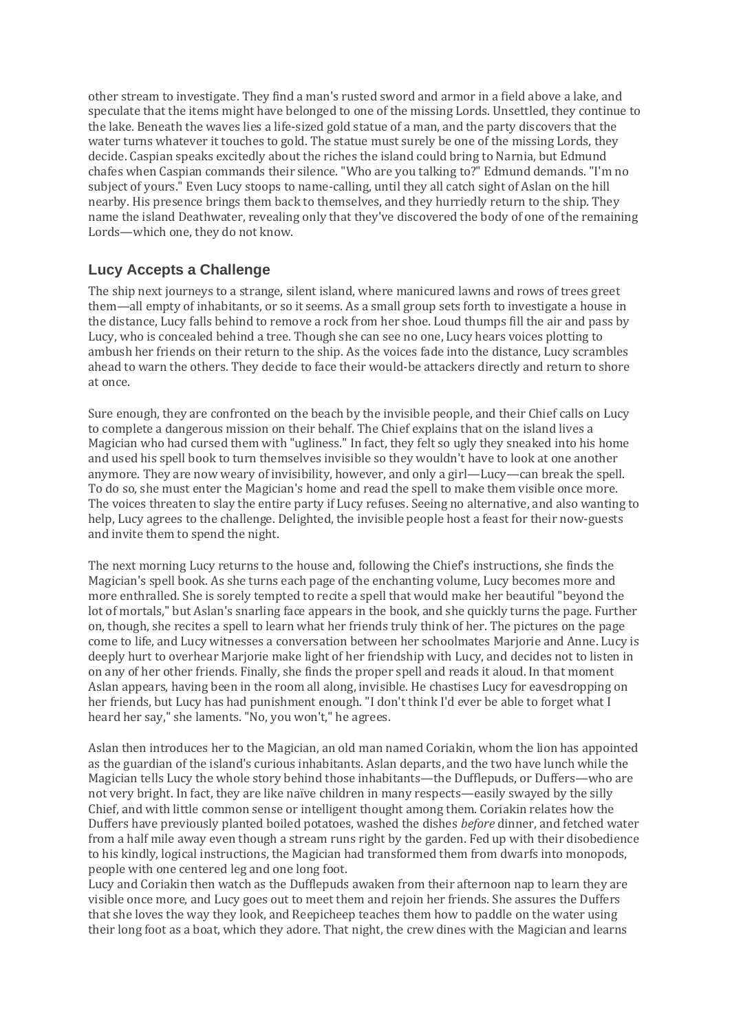other stream to investigate. They find a man's rusted sword and armor in a field above a lake, and speculate that the items might have belonged to one of the missing Lords. Unsettled, they continue to the lake. Beneath the waves lies a life-sized gold statue of a man, and the party discovers that the water turns whatever it touches to gold. The statue must surely be one of the missing Lords, they decide. Caspian speaks excitedly about the riches the island could bring to Narnia, but Edmund chafes when Caspian commands their silence. "Who are you talking to?" Edmund demands. "I'm no subject of yours." Even Lucy stoops to name-calling, until they all catch sight of Aslan on the hill nearby. His presence brings them back to themselves, and they hurriedly return to the ship. They name the island Deathwater, revealing only that they've discovered the body of one of the remaining Lords—which one, they do not know.

## **Lucy Accepts a Challenge**

The ship next journeys to a strange, silent island, where manicured lawns and rows of trees greet them—all empty of inhabitants, or so it seems. As a small group sets forth to investigate a house in the distance, Lucy falls behind to remove a rock from her shoe. Loud thumps fill the air and pass by Lucy, who is concealed behind a tree. Though she can see no one, Lucy hears voices plotting to ambush her friends on their return to the ship. As the voices fade into the distance, Lucy scrambles ahead to warn the others. They decide to face their would-be attackers directly and return to shore at once.

Sure enough, they are confronted on the beach by the invisible people, and their Chief calls on Lucy to complete a dangerous mission on their behalf. The Chief explains that on the island lives a Magician who had cursed them with "ugliness." In fact, they felt so ugly they sneaked into his home and used his spell book to turn themselves invisible so they wouldn't have to look at one another anymore. They are now weary of invisibility, however, and only a girl—Lucy—can break the spell. To do so, she must enter the Magician's home and read the spell to make them visible once more. The voices threaten to slay the entire party if Lucy refuses. Seeing no alternative, and also wanting to help, Lucy agrees to the challenge. Delighted, the invisible people host a feast for their now-guests and invite them to spend the night.

The next morning Lucy returns to the house and, following the Chief's instructions, she finds the Magician's spell book. As she turns each page of the enchanting volume, Lucy becomes more and more enthralled. She is sorely tempted to recite a spell that would make her beautiful "beyond the lot of mortals," but Aslan's snarling face appears in the book, and she quickly turns the page. Further on, though, she recites a spell to learn what her friends truly think of her. The pictures on the page come to life, and Lucy witnesses a conversation between her schoolmates Marjorie and Anne. Lucy is deeply hurt to overhear Marjorie make light of her friendship with Lucy, and decides not to listen in on any of her other friends. Finally, she finds the proper spell and reads it aloud. In that moment Aslan appears, having been in the room all along, invisible. He chastises Lucy for eavesdropping on her friends, but Lucy has had punishment enough. "I don't think I'd ever be able to forget what I heard her say," she laments. "No, you won't," he agrees.

Aslan then introduces her to the Magician, an old man named Coriakin, whom the lion has appointed as the guardian of the island's curious inhabitants. Aslan departs, and the two have lunch while the Magician tells Lucy the whole story behind those inhabitants—the Dufflepuds, or Duffers—who are not very bright. In fact, they are like naïve children in many respects—easily swayed by the silly Chief, and with little common sense or intelligent thought among them. Coriakin relates how the Duffers have previously planted boiled potatoes, washed the dishes *before* dinner, and fetched water from a half mile away even though a stream runs right by the garden. Fed up with their disobedience to his kindly, logical instructions, the Magician had transformed them from dwarfs into monopods, people with one centered leg and one long foot.

Lucy and Coriakin then watch as the Dufflepuds awaken from their afternoon nap to learn they are visible once more, and Lucy goes out to meet them and rejoin her friends. She assures the Duffers that she loves the way they look, and Reepicheep teaches them how to paddle on the water using their long foot as a boat, which they adore. That night, the crew dines with the Magician and learns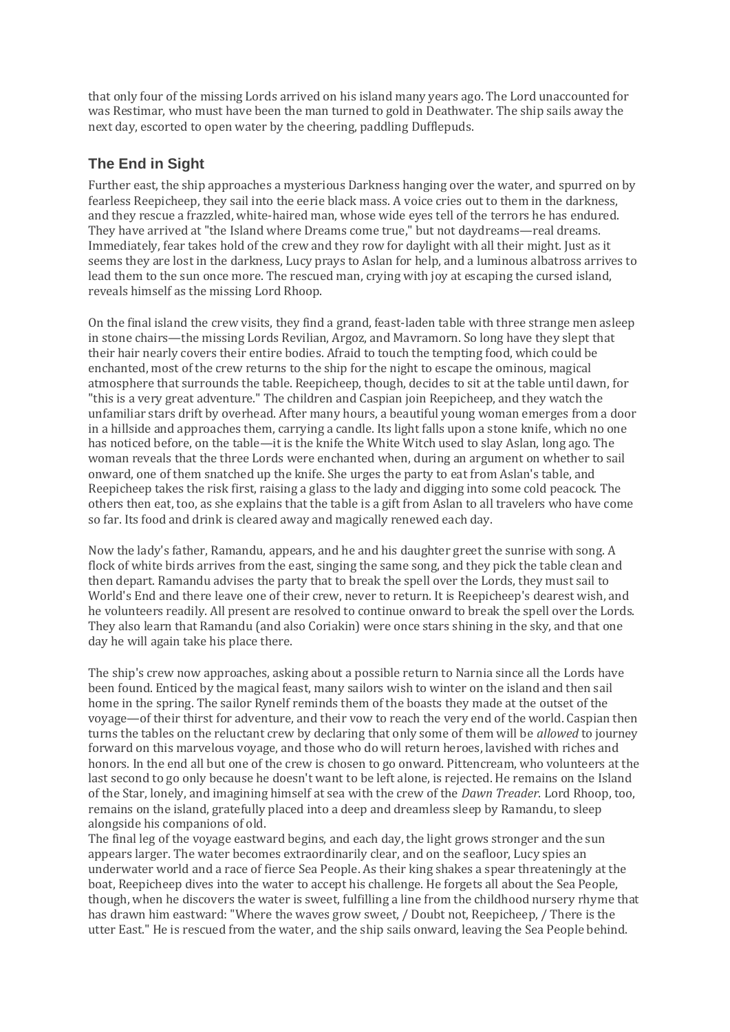that only four of the missing Lords arrived on his island many years ago. The Lord unaccounted for was Restimar, who must have been the man turned to gold in Deathwater. The ship sails away the next day, escorted to open water by the cheering, paddling Dufflepuds.

## **The End in Sight**

Further east, the ship approaches a mysterious Darkness hanging over the water, and spurred on by fearless Reepicheep, they sail into the eerie black mass. A voice cries out to them in the darkness, and they rescue a frazzled, white-haired man, whose wide eyes tell of the terrors he has endured. They have arrived at "the Island where Dreams come true," but not daydreams—real dreams. Immediately, fear takes hold of the crew and they row for daylight with all their might. Just as it seems they are lost in the darkness, Lucy prays to Aslan for help, and a luminous albatross arrives to lead them to the sun once more. The rescued man, crying with joy at escaping the cursed island, reveals himself as the missing Lord Rhoop.

On the final island the crew visits, they find a grand, feast-laden table with three strange men asleep in stone chairs—the missing Lords Revilian, Argoz, and Mavramorn. So long have they slept that their hair nearly covers their entire bodies. Afraid to touch the tempting food, which could be enchanted, most of the crew returns to the ship for the night to escape the ominous, magical atmosphere that surrounds the table. Reepicheep, though, decides to sit at the table until dawn, for "this is a very great adventure." The children and Caspian join Reepicheep, and they watch the unfamiliar stars drift by overhead. After many hours, a beautiful young woman emerges from a door in a hillside and approaches them, carrying a candle. Its light falls upon a stone knife, which no one has noticed before, on the table—it is the knife the White Witch used to slay Aslan, long ago. The woman reveals that the three Lords were enchanted when, during an argument on whether to sail onward, one of them snatched up the knife. She urges the party to eat from Aslan's table, and Reepicheep takes the risk first, raising a glass to the lady and digging into some cold peacock. The others then eat, too, as she explains that the table is a gift from Aslan to all travelers who have come so far. Its food and drink is cleared away and magically renewed each day.

Now the lady's father, Ramandu, appears, and he and his daughter greet the sunrise with song. A flock of white birds arrives from the east, singing the same song, and they pick the table clean and then depart. Ramandu advises the party that to break the spell over the Lords, they must sail to World's End and there leave one of their crew, never to return. It is Reepicheep's dearest wish, and he volunteers readily. All present are resolved to continue onward to break the spell over the Lords. They also learn that Ramandu (and also Coriakin) were once stars shining in the sky, and that one day he will again take his place there.

The ship's crew now approaches, asking about a possible return to Narnia since all the Lords have been found. Enticed by the magical feast, many sailors wish to winter on the island and then sail home in the spring. The sailor Rynelf reminds them of the boasts they made at the outset of the voyage—of their thirst for adventure, and their vow to reach the very end of the world. Caspian then turns the tables on the reluctant crew by declaring that only some of them will be *allowed* to journey forward on this marvelous voyage, and those who do will return heroes, lavished with riches and honors. In the end all but one of the crew is chosen to go onward. Pittencream, who volunteers at the last second to go only because he doesn't want to be left alone, is rejected. He remains on the Island of the Star, lonely, and imagining himself at sea with the crew of the *Dawn Treader*. Lord Rhoop, too, remains on the island, gratefully placed into a deep and dreamless sleep by Ramandu, to sleep alongside his companions of old.

The final leg of the voyage eastward begins, and each day, the light grows stronger and the sun appears larger. The water becomes extraordinarily clear, and on the seafloor, Lucy spies an underwater world and a race of fierce Sea People. As their king shakes a spear threateningly at the boat, Reepicheep dives into the water to accept his challenge. He forgets all about the Sea People, though, when he discovers the water is sweet, fulfilling a line from the childhood nursery rhyme that has drawn him eastward: "Where the waves grow sweet, / Doubt not, Reepicheep, / There is the utter East." He is rescued from the water, and the ship sails onward, leaving the Sea People behind.